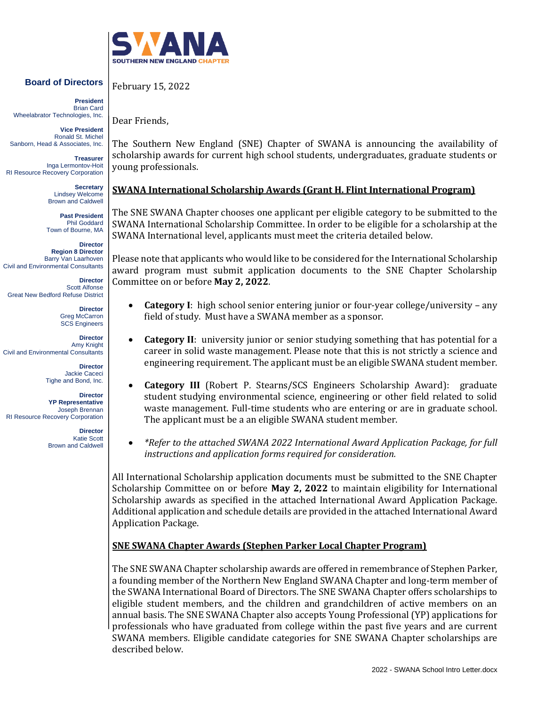

## **Board of Directors**

**President** Brian Card Wheelabrator Technologies, Inc.

**Vice President** Ronald St. Michel Sanborn, Head & Associates, Inc.

**Treasurer** Inga Lermontov-Hoit RI Resource Recovery Corporation

> **Secretary** Lindsey Welcome Brown and Caldwell

**Past President** Phil Goddard Town of Bourne, MA

**Director Region 8 Director** Barry Van Laarhoven Civil and Environmental Consultants

**Director** Scott Alfonse Great New Bedford Refuse District

> **Director** Greg McCarron SCS Engineers

**Director** Amy Knight Civil and Environmental Consultants

> **Director** Jackie Caceci Tighe and Bond, Inc.

**Director YP Representative** Joseph Brennan RI Resource Recovery Corporation

> **Director** Katie Scott Brown and Caldwell

February 15, 2022

Dear Friends,

The Southern New England (SNE) Chapter of SWANA is announcing the availability of scholarship awards for current high school students, undergraduates, graduate students or young professionals.

## **SWANA International Scholarship Awards (Grant H. Flint International Program)**

The SNE SWANA Chapter chooses one applicant per eligible category to be submitted to the SWANA International Scholarship Committee. In order to be eligible for a scholarship at the SWANA International level, applicants must meet the criteria detailed below.

Please note that applicants who would like to be considered for the International Scholarship award program must submit application documents to the SNE Chapter Scholarship Committee on or before **May 2, 2022**.

- **Category I**: high school senior entering junior or four-year college/university any field of study. Must have a SWANA member as a sponsor.
- **Category II**: university junior or senior studying something that has potential for a career in solid waste management. Please note that this is not strictly a science and engineering requirement. The applicant must be an eligible SWANA student member.
- **Category III** (Robert P. Stearns/SCS Engineers Scholarship Award): graduate student studying environmental science, engineering or other field related to solid waste management. Full-time students who are entering or are in graduate school. The applicant must be a an eligible SWANA student member.
- *\*Refer to the attached SWANA 2022 International Award Application Package, for full instructions and application forms required for consideration.*

All International Scholarship application documents must be submitted to the SNE Chapter Scholarship Committee on or before **May 2, 2022** to maintain eligibility for International Scholarship awards as specified in the attached International Award Application Package. Additional application and schedule details are provided in the attached International Award Application Package.

## **SNE SWANA Chapter Awards (Stephen Parker Local Chapter Program)**

The SNE SWANA Chapter scholarship awards are offered in remembrance of Stephen Parker, a founding member of the Northern New England SWANA Chapter and long-term member of the SWANA International Board of Directors. The SNE SWANA Chapter offers scholarships to eligible student members, and the children and grandchildren of active members on an annual basis. The SNE SWANA Chapter also accepts Young Professional (YP) applications for professionals who have graduated from college within the past five years and are current SWANA members. Eligible candidate categories for SNE SWANA Chapter scholarships are described below.